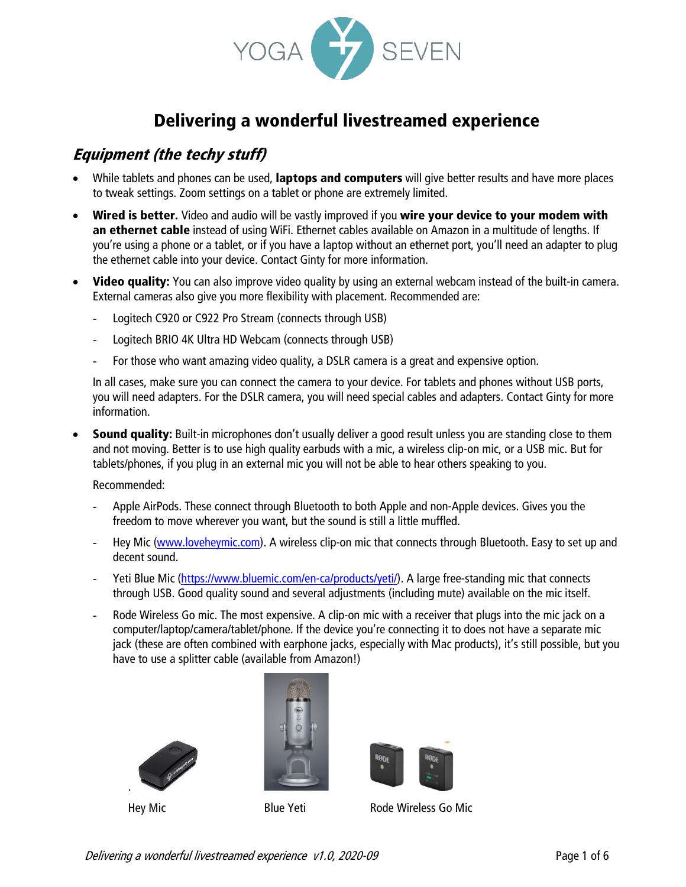

# Delivering a wonderful livestreamed experience

### Equipment (the techy stuff)

- While tablets and phones can be used, laptops and computers will give better results and have more places to tweak settings. Zoom settings on a tablet or phone are extremely limited.
- Wired is better. Video and audio will be vastly improved if you wire your device to your modem with an ethernet cable instead of using WiFi. Ethernet cables available on Amazon in a multitude of lengths. If you're using a phone or a tablet, or if you have a laptop without an ethernet port, you'll need an adapter to plug the ethernet cable into your device. Contact Ginty for more information.
- Video quality: You can also improve video quality by using an external webcam instead of the built-in camera. External cameras also give you more flexibility with placement. Recommended are:
	- Logitech C920 or C922 Pro Stream (connects through USB)
	- Logitech BRIO 4K Ultra HD Webcam (connects through USB)
	- For those who want amazing video quality, a DSLR camera is a great and expensive option.

In all cases, make sure you can connect the camera to your device. For tablets and phones without USB ports, you will need adapters. For the DSLR camera, you will need special cables and adapters. Contact Ginty for more information.

**Sound quality:** Built-in microphones don't usually deliver a good result unless you are standing close to them and not moving. Better is to use high quality earbuds with a mic, a wireless clip-on mic, or a USB mic. But for tablets/phones, if you plug in an external mic you will not be able to hear others speaking to you.

Recommended:

- Apple AirPods. These connect through Bluetooth to both Apple and non-Apple devices. Gives you the freedom to move wherever you want, but the sound is still a little muffled.
- Hey Mic [\(www.loveheymic.com\)](http://www.loveheymic.com/). A wireless clip-on mic that connects through Bluetooth. Easy to set up and decent sound.
- Yeti Blue Mic [\(https://www.bluemic.com/en-ca/products/yeti/\)](https://www.bluemic.com/en-ca/products/yeti/). A large free-standing mic that connects through USB. Good quality sound and several adjustments (including mute) available on the mic itself.
- Rode Wireless Go mic. The most expensive. A clip-on mic with a receiver that plugs into the mic jack on a computer/laptop/camera/tablet/phone. If the device you're connecting it to does not have a separate mic jack (these are often combined with earphone jacks, especially with Mac products), it's still possible, but you have to use a splitter cable (available from Amazon!)







Hey Mic **Blue Yeti** Rode Wireless Go Mic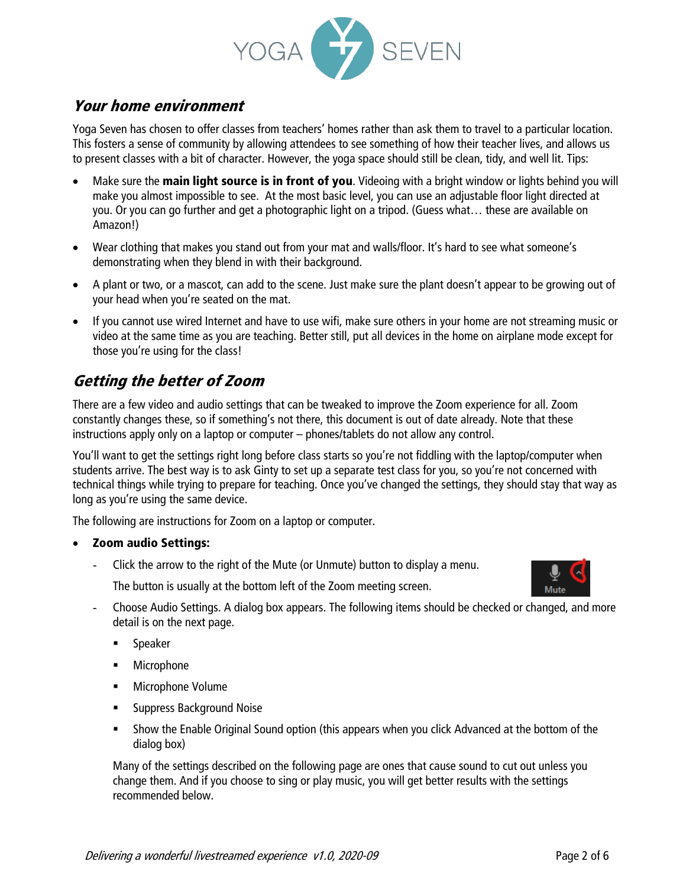

#### Your home environment

Yoga Seven has chosen to offer classes from teachers' homes rather than ask them to travel to a particular location. This fosters a sense of community by allowing attendees to see something of how their teacher lives, and allows us to present classes with a bit of character. However, the yoga space should still be clean, tidy, and well lit. Tips:

- Make sure the **main light source is in front of you**. Videoing with a bright window or lights behind you will make you almost impossible to see. At the most basic level, you can use an adjustable floor light directed at you. Or you can go further and get a photographic light on a tripod. (Guess what… these are available on Amazon!)
- Wear clothing that makes you stand out from your mat and walls/floor. It's hard to see what someone's demonstrating when they blend in with their background.
- A plant or two, or a mascot, can add to the scene. Just make sure the plant doesn't appear to be growing out of your head when you're seated on the mat.
- If you cannot use wired Internet and have to use wifi, make sure others in your home are not streaming music or video at the same time as you are teaching. Better still, put all devices in the home on airplane mode except for those you're using for the class!

## Getting the better of Zoom

There are a few video and audio settings that can be tweaked to improve the Zoom experience for all. Zoom constantly changes these, so if something's not there, this document is out of date already. Note that these instructions apply only on a laptop or computer – phones/tablets do not allow any control.

You'll want to get the settings right long before class starts so you're not fiddling with the laptop/computer when students arrive. The best way is to ask Ginty to set up a separate test class for you, so you're not concerned with technical things while trying to prepare for teaching. Once you've changed the settings, they should stay that way as long as you're using the same device.

The following are instructions for Zoom on a laptop or computer.

#### • Zoom audio Settings:

- Click the arrow to the right of the Mute (or Unmute) button to display a menu.

Mute

The button is usually at the bottom left of the Zoom meeting screen.

- Choose Audio Settings. A dialog box appears. The following items should be checked or changed, and more detail is on the next page.
	- Speaker
	- Microphone
	- Microphone Volume
	- **EXECUTE: Suppress Background Noise**
	- **•** Show the Enable Original Sound option (this appears when you click Advanced at the bottom of the dialog box)

Many of the settings described on the following page are ones that cause sound to cut out unless you change them. And if you choose to sing or play music, you will get better results with the settings recommended below.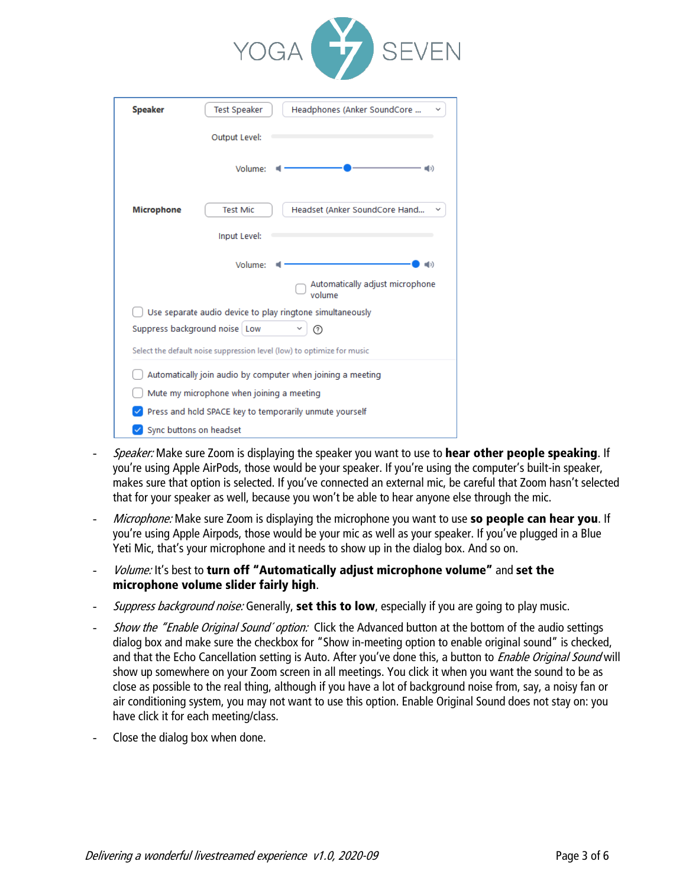

| <b>Speaker</b>                                                         | Headphones (Anker SoundCore<br><b>Test Speaker</b> |
|------------------------------------------------------------------------|----------------------------------------------------|
|                                                                        | Output Level:                                      |
|                                                                        | Volume:<br>때)                                      |
| <b>Microphone</b>                                                      | Headset (Anker SoundCore Hand<br><b>Test Mic</b>   |
|                                                                        | Input Level:                                       |
|                                                                        | Volume:<br>נכ∎⊫                                    |
|                                                                        | Automatically adjust microphone<br>volume          |
| Use separate audio device to play ringtone simultaneously              |                                                    |
| Suppress background noise Low<br>⊚                                     |                                                    |
| Select the default noise suppression level (low) to optimize for music |                                                    |
| Automatically join audio by computer when joining a meeting            |                                                    |
| Mute my microphone when joining a meeting                              |                                                    |
| Press and hold SPACE key to temporarily unmute yourself                |                                                    |
|                                                                        | Sync buttons on headset                            |
|                                                                        |                                                    |

- Speaker: Make sure Zoom is displaying the speaker you want to use to hear other people speaking. If you're using Apple AirPods, those would be your speaker. If you're using the computer's built-in speaker, makes sure that option is selected. If you've connected an external mic, be careful that Zoom hasn't selected that for your speaker as well, because you won't be able to hear anyone else through the mic.
- Microphone: Make sure Zoom is displaying the microphone you want to use so people can hear you. If you're using Apple Airpods, those would be your mic as well as your speaker. If you've plugged in a Blue Yeti Mic, that's your microphone and it needs to show up in the dialog box. And so on.
- Volume: It's best to turn off "Automatically adjust microphone volume" and set the microphone volume slider fairly high.
- Suppress background noise: Generally, set this to low, especially if you are going to play music.
- Show the "Enable Original Sound' option: Click the Advanced button at the bottom of the audio settings dialog box and make sure the checkbox for "Show in-meeting option to enable original sound" is checked, and that the Echo Cancellation setting is Auto. After you've done this, a button to *Enable Original Sound* will show up somewhere on your Zoom screen in all meetings. You click it when you want the sound to be as close as possible to the real thing, although if you have a lot of background noise from, say, a noisy fan or air conditioning system, you may not want to use this option. Enable Original Sound does not stay on: you have click it for each meeting/class.
- Close the dialog box when done.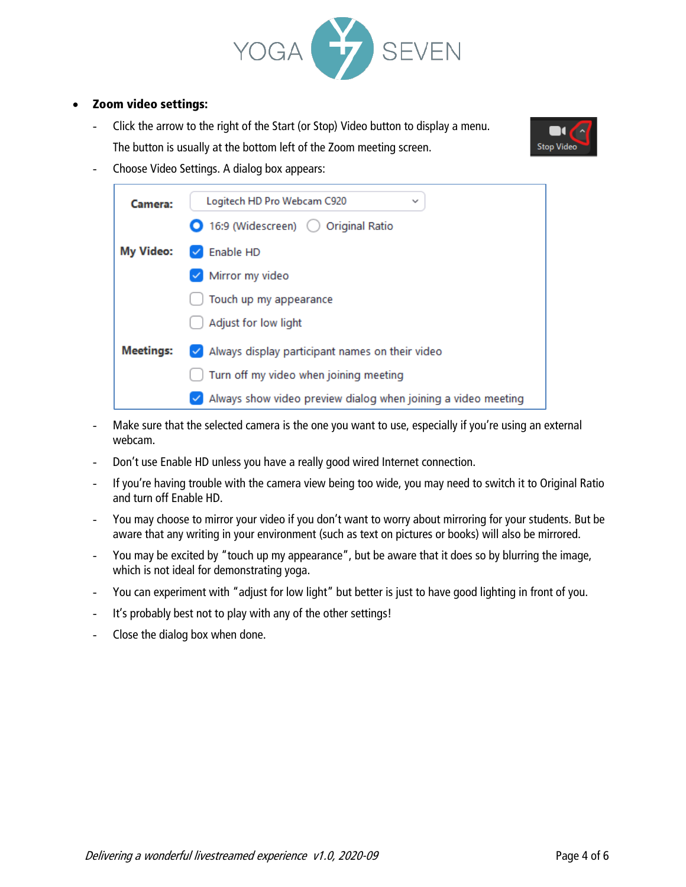

#### • Zoom video settings:

- Click the arrow to the right of the Start (or Stop) Video button to display a menu. The button is usually at the bottom left of the Zoom meeting screen.



- Choose Video Settings. A dialog box appears:



- Make sure that the selected camera is the one you want to use, especially if you're using an external webcam.
- Don't use Enable HD unless you have a really good wired Internet connection.
- If you're having trouble with the camera view being too wide, you may need to switch it to Original Ratio and turn off Enable HD.
- You may choose to mirror your video if you don't want to worry about mirroring for your students. But be aware that any writing in your environment (such as text on pictures or books) will also be mirrored.
- You may be excited by "touch up my appearance", but be aware that it does so by blurring the image, which is not ideal for demonstrating yoga.
- You can experiment with "adjust for low light" but better is just to have good lighting in front of you.
- It's probably best not to play with any of the other settings!
- Close the dialog box when done.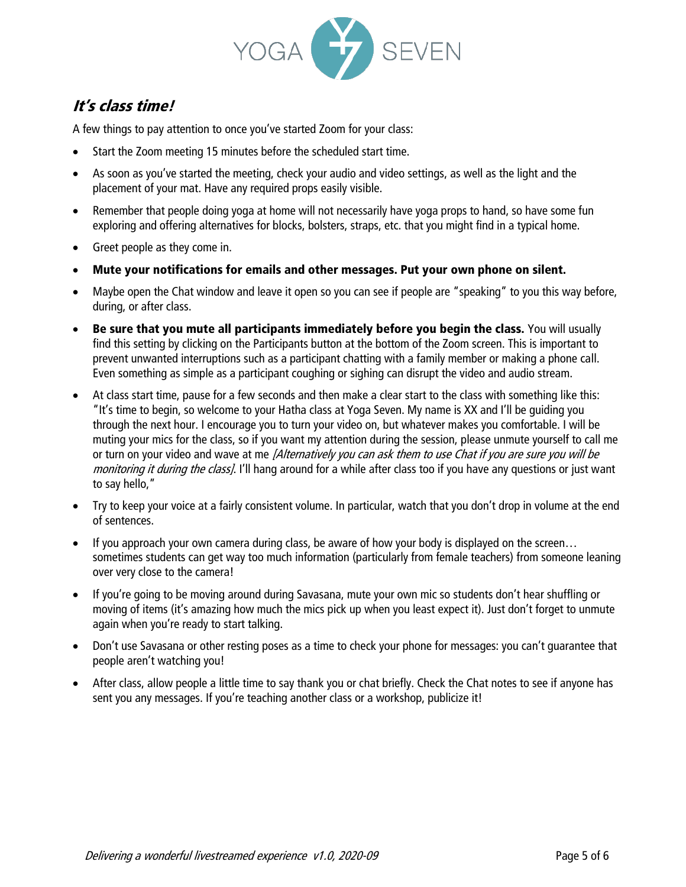

### It's class time!

A few things to pay attention to once you've started Zoom for your class:

- Start the Zoom meeting 15 minutes before the scheduled start time.
- As soon as you've started the meeting, check your audio and video settings, as well as the light and the placement of your mat. Have any required props easily visible.
- Remember that people doing yoga at home will not necessarily have yoga props to hand, so have some fun exploring and offering alternatives for blocks, bolsters, straps, etc. that you might find in a typical home.
- Greet people as they come in.
- Mute your notifications for emails and other messages. Put your own phone on silent.
- Maybe open the Chat window and leave it open so you can see if people are "speaking" to you this way before, during, or after class.
- Be sure that you mute all participants immediately before you begin the class. You will usually find this setting by clicking on the Participants button at the bottom of the Zoom screen. This is important to prevent unwanted interruptions such as a participant chatting with a family member or making a phone call. Even something as simple as a participant coughing or sighing can disrupt the video and audio stream.
- At class start time, pause for a few seconds and then make a clear start to the class with something like this: "It's time to begin, so welcome to your Hatha class at Yoga Seven. My name is XX and I'll be guiding you through the next hour. I encourage you to turn your video on, but whatever makes you comfortable. I will be muting your mics for the class, so if you want my attention during the session, please unmute yourself to call me or turn on your video and wave at me *[Alternatively you can ask them to use Chat if you are sure you will be* monitoring it during the class]. I'll hang around for a while after class too if you have any questions or just want to say hello,"
- Try to keep your voice at a fairly consistent volume. In particular, watch that you don't drop in volume at the end of sentences.
- If you approach your own camera during class, be aware of how your body is displayed on the screen... sometimes students can get way too much information (particularly from female teachers) from someone leaning over very close to the camera!
- If you're going to be moving around during Savasana, mute your own mic so students don't hear shuffling or moving of items (it's amazing how much the mics pick up when you least expect it). Just don't forget to unmute again when you're ready to start talking.
- Don't use Savasana or other resting poses as a time to check your phone for messages: you can't guarantee that people aren't watching you!
- After class, allow people a little time to say thank you or chat briefly. Check the Chat notes to see if anyone has sent you any messages. If you're teaching another class or a workshop, publicize it!